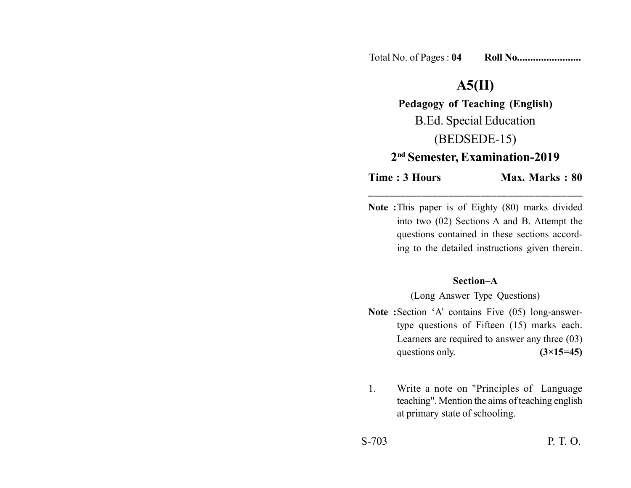Total No. of Pages : **04 Roll No........................**

## **A5(II)**

**Pedagogy of Teaching (English)** B.Ed. Special Education (BEDSEDE-15) **2nd Semester, Examination-2019**

**Time : 3 Hours** Max. Marks : 80 **\_\_\_\_\_\_\_\_\_\_\_\_\_\_\_\_\_\_\_\_\_\_\_\_\_\_\_\_\_\_\_\_\_\_\_\_\_\_\_\_**

**Note :**This paper is of Eighty (80) marks divided into two (02) Sections A and B. Attempt the questions contained in these sections according to the detailed instructions given therein.

## **Section–A**

(Long Answer Type Questions)

- **Note :**Section 'A' contains Five (05) long-answertype questions of Fifteen (15) marks each. Learners are required to answer any three (03) questions only. **(3×15=45)**
- 1. Write a note on "Principles of Language teaching". Mention the aims of teaching english at primary state of schooling.

S-703 P. T. O.